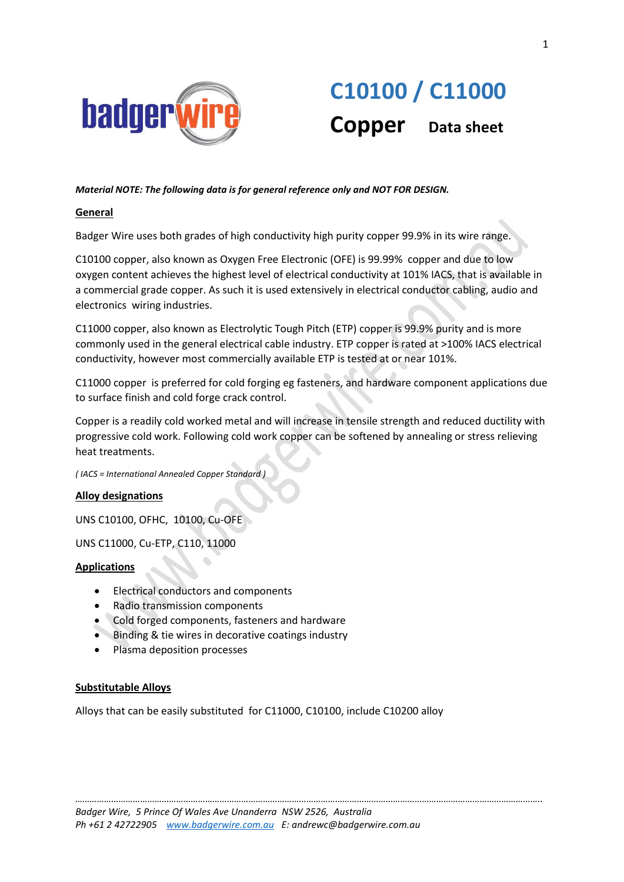

# **C10100 / C11000 Copper Data sheet**

## *Material NOTE: The following data is for general reference only and NOT FOR DESIGN.*

## **General**

Badger Wire uses both grades of high conductivity high purity copper 99.9% in its wire range.

C10100 copper, also known as Oxygen Free Electronic (OFE) is 99.99% copper and due to low oxygen content achieves the highest level of electrical conductivity at 101% IACS, that is available in a commercial grade copper. As such it is used extensively in electrical conductor cabling, audio and electronics wiring industries.

C11000 copper, also known as Electrolytic Tough Pitch (ETP) copper is 99.9% purity and is more commonly used in the general electrical cable industry. ETP copper is rated at >100% IACS electrical conductivity, however most commercially available ETP is tested at or near 101%.

C11000 copper is preferred for cold forging eg fasteners, and hardware component applications due to surface finish and cold forge crack control.

Copper is a readily cold worked metal and will increase in tensile strength and reduced ductility with progressive cold work. Following cold work copper can be softened by annealing or stress relieving heat treatments.

*( IACS = International Annealed Copper Standard )*

#### **Alloy designations**

UNS C10100, OFHC, 10100, Cu-OFE

UNS C11000, Cu-ETP, C110, 11000

#### **Applications**

- Electrical conductors and components
- Radio transmission components
- Cold forged components, fasteners and hardware
- **Binding & tie wires in decorative coatings industry**
- Plasma deposition processes

#### **Substitutable Alloys**

Alloys that can be easily substituted for C11000, C10100, include C10200 alloy

*…………………………………………………………………………………………………………………………………………………………………………..*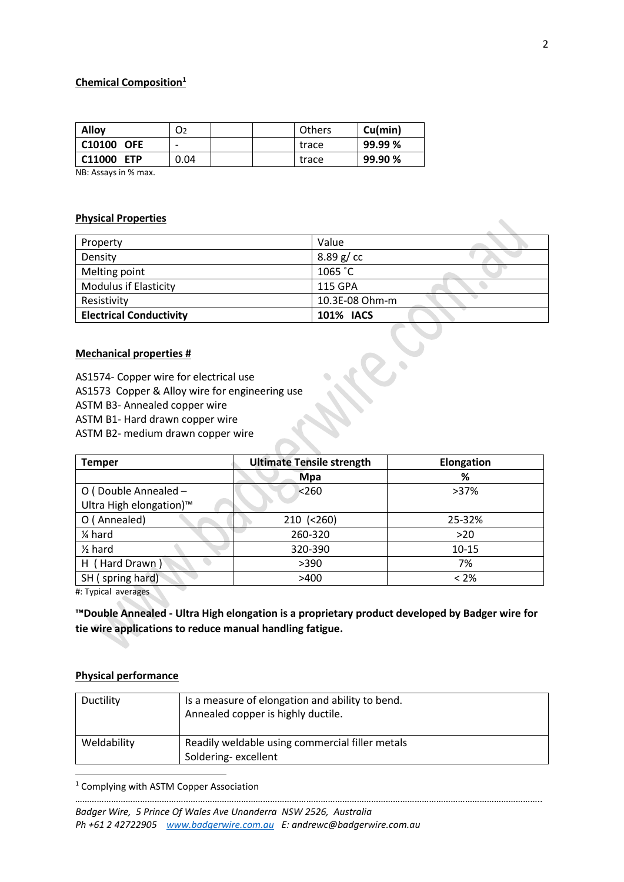# **Chemical Composition<sup>1</sup>**

| <b>Alloy</b>                     | O2   | Others | Cu(min) |
|----------------------------------|------|--------|---------|
| C10100<br><b>OFE</b>             | -    | trace  | 99.99 % |
| C <sub>11000</sub><br><b>FTP</b> | 0.04 | trace  | 99.90 % |

NB: Assays in % max.

#### **Physical Properties**

| Property                       | Value            |
|--------------------------------|------------------|
| Density                        | 8.89 g/cc        |
| Melting point                  | 1065 °C          |
| <b>Modulus if Elasticity</b>   | 115 GPA          |
| Resistivity                    | 10.3E-08 Ohm-m   |
| <b>Electrical Conductivity</b> | <b>101% IACS</b> |

# **Mechanical properties #**

AS1574- Copper wire for electrical use

AS1573 Copper & Alloy wire for engineering use

ASTM B3- Annealed copper wire

ASTM B1- Hard drawn copper wire

ASTM B2- medium drawn copper wire

| <b>Temper</b>                                               | <b>Ultimate Tensile strength</b> | Elongation |
|-------------------------------------------------------------|----------------------------------|------------|
|                                                             | <b>Mpa</b>                       | ℅          |
| O (Double Annealed -<br>Ultra High elongation) <sup>™</sup> | < 260                            | $>37\%$    |
| (Annealed)                                                  | $210$ (<260)                     | 25-32%     |
| 1⁄4 hard                                                    | 260-320                          | $>20$      |
| $\frac{1}{2}$ hard                                          | 320-390                          | 10-15      |
| H (Hard Drawn)                                              | >390                             | 7%         |
| SH (spring hard)                                            | >400                             | $< 2\%$    |

#: Typical averages

**™Double Annealed - Ultra High elongation is a proprietary product developed by Badger wire for tie wire applications to reduce manual handling fatigue.** 

#### **Physical performance**

**.** 

| Ductility   | Is a measure of elongation and ability to bend.<br>Annealed copper is highly ductile. |
|-------------|---------------------------------------------------------------------------------------|
| Weldability | Readily weldable using commercial filler metals<br>Soldering-excellent                |

*…………………………………………………………………………………………………………………………………………………………………………..*

<sup>1</sup> Complying with ASTM Copper Association